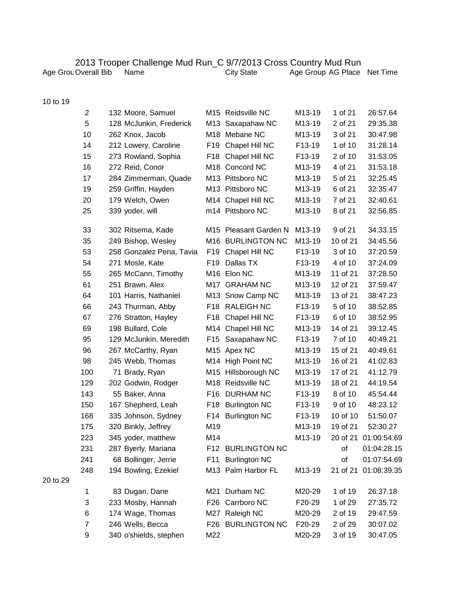## 2013 Trooper Challenge Mud Run\_C 9/7/2013 Cross Country Mud Run

| Age Grou Overall Bib | Name |
|----------------------|------|
|----------------------|------|

Age Grou Overall Bib Name **City State Age Group AG Place Net Time** 

|  |  | 10 to 19 |
|--|--|----------|
|--|--|----------|

20 to 29

| $\overline{2}$ | 132 Moore, Samuel        |     | M <sub>15</sub> Reidsville NC | M13-19              | 1 of 21  | 26:57.64    |
|----------------|--------------------------|-----|-------------------------------|---------------------|----------|-------------|
| 5              | 128 McJunkin, Frederick  | M13 | Saxapahaw NC                  | M13-19              | 2 of 21  | 29:35.38    |
| 10             | 262 Knox, Jacob          |     | M <sub>18</sub> Mebane NC     | M13-19              | 3 of 21  | 30:47.98    |
| 14             | 212 Lowery, Caroline     | F19 | Chapel Hill NC                | F13-19              | 1 of 10  | 31:28.14    |
| 15             | 273 Rowland, Sophia      | F18 | Chapel Hill NC                | F13-19              | 2 of 10  | 31:53.05    |
| 16             | 272 Reid, Conor          |     | M18 Concord NC                | M13-19              | 4 of 21  | 31:53.18    |
| 17             | 284 Zimmerman, Quade     |     | M13 Pittsboro NC              | M13-19              | 5 of 21  | 32:25.45    |
| 19             | 259 Griffin, Hayden      |     | M13 Pittsboro NC              | M13-19              | 6 of 21  | 32:35.47    |
| 20             | 179 Welch, Owen          |     | M14 Chapel Hill NC            | M13-19              | 7 of 21  | 32:40.61    |
| 25             | 339 yoder, will          |     | m14 Pittsboro NC              | M13-19              | 8 of 21  | 32:56.85    |
| 33             | 302 Ritsema, Kade        |     | M15 Pleasant Garden N         | M13-19              | 9 of 21  | 34:33.15    |
| 35             | 249 Bishop, Wesley       |     | M16 BURLINGTON NC             | M13-19              | 10 of 21 | 34:45.56    |
| 53             | 258 Gonzalez Pena, Tavia | F19 | Chapel Hill NC                | F13-19              | 3 of 10  | 37:20.59    |
| 54             | 271 Mosle, Kate          | F19 | Dallas TX                     | F13-19              | 4 of 10  | 37:24.09    |
| 55             | 265 McCann, Timothy      |     | M16 Elon NC                   | M13-19              | 11 of 21 | 37:28.50    |
| 61             | 251 Brawn, Alex          |     | M17 GRAHAM NC                 | M13-19              | 12 of 21 | 37:59.47    |
| 64             | 101 Harris, Nathaniel    |     | M13 Snow Camp NC              | M13-19              | 13 of 21 | 38:47.23    |
| 66             | 243 Thurman, Abby        |     | F18 RALEIGH NC                | F13-19              | 5 of 10  | 38:52.85    |
| 67             | 276 Stratton, Hayley     | F18 | Chapel Hill NC                | F13-19              | 6 of 10  | 38:52.95    |
| 69             | 198 Bullard, Cole        | M14 | Chapel Hill NC                | M13-19              | 14 of 21 | 39:12.45    |
| 95             | 129 McJunkin, Meredith   | F15 | Saxapahaw NC                  | F13-19              | 7 of 10  | 40:49.21    |
| 96             | 267 McCarthy, Ryan       |     | M <sub>15</sub> Apex NC       | M <sub>13</sub> -19 | 15 of 21 | 40:49.61    |
| 98             | 245 Webb, Thomas         |     | M14 High Point NC             | M13-19              | 16 of 21 | 41:02.83    |
| 100            | 71 Brady, Ryan           |     | M15 Hillsborough NC           | M13-19              | 17 of 21 | 41:12.79    |
| 129            | 202 Godwin, Rodger       |     | M18 Reidsville NC             | M13-19              | 18 of 21 | 44:19.54    |
| 143            | 55 Baker, Anna           |     | F16 DURHAM NC                 | F13-19              | 8 of 10  | 45:54.44    |
| 150            | 167 Shepherd, Leah       | F18 | <b>Burlington NC</b>          | F13-19              | 9 of 10  | 48:23.12    |
| 168            | 335 Johnson, Sydney      |     | F14 Burlington NC             | F13-19              | 10 of 10 | 51:50.07    |
| 175            | 320 Binkly, Jeffrey      | M19 |                               | M13-19              | 19 of 21 | 52:30.27    |
| 223            | 345 yoder, matthew       | M14 |                               | M13-19              | 20 of 21 | 01:00:54.69 |
| 231            | 287 Byerly, Mariana      |     | F12 BURLINGTON NC             |                     | of       | 01:04:28.15 |
| 241            | 68 Bollinger, Jerrie     |     | F11 Burlington NC             |                     | of       | 01:07:54.69 |
| 248            | 194 Bowling, Ezekiel     |     | M13 Palm Harbor FL            | M13-19              | 21 of 21 | 01:08:39.35 |
| 1              | 83 Dugan, Dane           |     | M21 Durham NC                 | M20-29              | 1 of 19  | 26:37.18    |
| 3              | 233 Mosby, Hannah        | F26 | Carrboro NC                   | F20-29              | 1 of 29  | 27:35.72    |
| 6              | 174 Wage, Thomas         |     | M27 Raleigh NC                | M20-29              | 2 of 19  | 29:47.59    |
| $\overline{7}$ | 246 Wells, Becca         |     | F26 BURLINGTON NC             | F20-29              | 2 of 29  | 30:07.02    |
| 9              | 340 o'shields, stephen   | M22 |                               | M20-29              | 3 of 19  | 30:47.05    |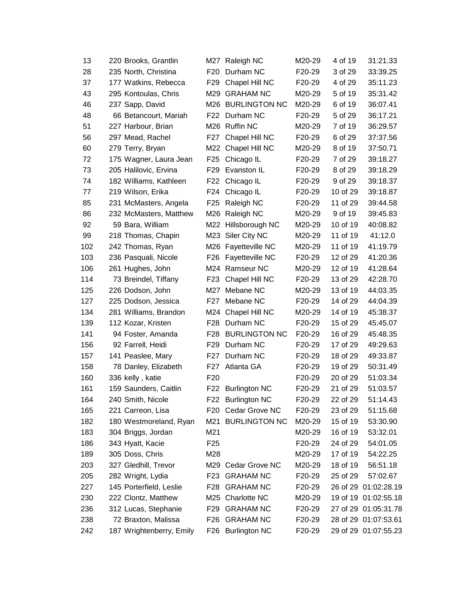| 13  | 220 Brooks, Grantlin     |                 | M27 Raleigh NC      | M20-29 | 4 of 19  | 31:21.33             |
|-----|--------------------------|-----------------|---------------------|--------|----------|----------------------|
| 28  | 235 North, Christina     | F <sub>20</sub> | Durham NC           | F20-29 | 3 of 29  | 33:39.25             |
| 37  | 177 Watkins, Rebecca     | F29             | Chapel Hill NC      | F20-29 | 4 of 29  | 35:11.23             |
| 43  | 295 Kontoulas, Chris     | M29             | <b>GRAHAM NC</b>    | M20-29 | 5 of 19  | 35:31.42             |
| 46  | 237 Sapp, David          |                 | M26 BURLINGTON NC   | M20-29 | 6 of 19  | 36:07.41             |
| 48  | 66 Betancourt, Mariah    |                 | F22 Durham NC       | F20-29 | 5 of 29  | 36:17.21             |
| 51  | 227 Harbour, Brian       |                 | M26 Ruffin NC       | M20-29 | 7 of 19  | 36:29.57             |
| 56  | 297 Mead, Rachel         | F27             | Chapel Hill NC      | F20-29 | 6 of 29  | 37:37.56             |
| 60  | 279 Terry, Bryan         | M22             | Chapel Hill NC      | M20-29 | 8 of 19  | 37:50.71             |
| 72  | 175 Wagner, Laura Jean   | F25             | Chicago IL          | F20-29 | 7 of 29  | 39:18.27             |
| 73  | 205 Halilovic, Ervina    | F29             | Evanston IL         | F20-29 | 8 of 29  | 39:18.29             |
| 74  | 182 Williams, Kathleen   | F22             | Chicago IL          | F20-29 | 9 of 29  | 39:18.37             |
| 77  | 219 Wilson, Erika        | F24             | Chicago IL          | F20-29 | 10 of 29 | 39:18.87             |
| 85  | 231 McMasters, Angela    | F25             | Raleigh NC          | F20-29 | 11 of 29 | 39:44.58             |
| 86  | 232 McMasters, Matthew   |                 | M26 Raleigh NC      | M20-29 | 9 of 19  | 39:45.83             |
| 92  | 59 Bara, William         |                 | M22 Hillsborough NC | M20-29 | 10 of 19 | 40:08.82             |
| 99  | 218 Thomas, Chapin       |                 | M23 Siler City NC   | M20-29 | 11 of 19 | 41:12.0              |
| 102 | 242 Thomas, Ryan         |                 | M26 Fayetteville NC | M20-29 | 11 of 19 | 41:19.79             |
| 103 | 236 Pasquali, Nicole     | F26             | Fayetteville NC     | F20-29 | 12 of 29 | 41:20.36             |
| 106 | 261 Hughes, John         |                 | M24 Ramseur NC      | M20-29 | 12 of 19 | 41:28.64             |
| 114 | 73 Breindel, Tiffany     | F23             | Chapel Hill NC      | F20-29 | 13 of 29 | 42:28.70             |
| 125 | 226 Dodson, John         | M27             | Mebane NC           | M20-29 | 13 of 19 | 44:03.35             |
| 127 | 225 Dodson, Jessica      | F27             | Mebane NC           | F20-29 | 14 of 29 | 44:04.39             |
| 134 | 281 Williams, Brandon    | M24             | Chapel Hill NC      | M20-29 | 14 of 19 | 45:38.37             |
| 139 | 112 Kozar, Kristen       | F28             | Durham NC           | F20-29 | 15 of 29 | 45:45.07             |
| 141 | 94 Foster, Amanda        |                 | F28 BURLINGTON NC   | F20-29 | 16 of 29 | 45:48.35             |
| 156 | 92 Farrell, Heidi        |                 | F29 Durham NC       | F20-29 | 17 of 29 | 49:29.63             |
| 157 | 141 Peaslee, Mary        | F27             | Durham NC           | F20-29 | 18 of 29 | 49:33.87             |
| 158 | 78 Danley, Elizabeth     |                 | F27 Atlanta GA      | F20-29 | 19 of 29 | 50:31.49             |
| 160 | 336 kelly, katie         | F <sub>20</sub> |                     | F20-29 | 20 of 29 | 51:03.34             |
| 161 | 159 Saunders, Caitlin    |                 | F22 Burlington NC   | F20-29 | 21 of 29 | 51:03.57             |
| 164 | 240 Smith, Nicole        |                 | F22 Burlington NC   | F20-29 | 22 of 29 | 51:14.43             |
| 165 | 221 Carreon, Lisa        |                 | F20 Cedar Grove NC  | F20-29 | 23 of 29 | 51:15.68             |
| 182 | 180 Westmoreland, Ryan   |                 | M21 BURLINGTON NC   | M20-29 | 15 of 19 | 53:30.90             |
| 183 | 304 Briggs, Jordan       | M21             |                     | M20-29 | 16 of 19 | 53:32.01             |
| 186 | 343 Hyatt, Kacie         | F <sub>25</sub> |                     | F20-29 | 24 of 29 | 54:01.05             |
| 189 | 305 Doss, Chris          | M28             |                     | M20-29 | 17 of 19 | 54:22.25             |
| 203 | 327 Gledhill, Trevor     |                 | M29 Cedar Grove NC  | M20-29 | 18 of 19 | 56:51.18             |
| 205 | 282 Wright, Lydia        |                 | F23 GRAHAM NC       | F20-29 | 25 of 29 | 57:02.67             |
| 227 | 145 Porterfield, Leslie  | F28             | <b>GRAHAM NC</b>    | F20-29 |          | 26 of 29 01:02:28.19 |
| 230 | 222 Clontz, Matthew      |                 | M25 Charlotte NC    | M20-29 |          | 19 of 19 01:02:55.18 |
| 236 | 312 Lucas, Stephanie     | F29             | <b>GRAHAM NC</b>    | F20-29 |          | 27 of 29 01:05:31.78 |
| 238 | 72 Braxton, Malissa      | F26 I           | <b>GRAHAM NC</b>    | F20-29 |          | 28 of 29 01:07:53.61 |
| 242 | 187 Wrightenberry, Emily |                 | F26 Burlington NC   | F20-29 |          | 29 of 29 01:07:55.23 |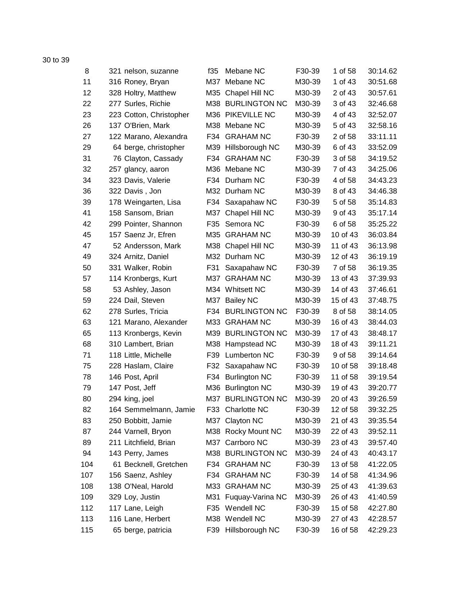30 to 39

| 8   | 321 nelson, suzanne     | f35 | Mebane NC            | F30-39 | 1 of 58  | 30:14.62 |
|-----|-------------------------|-----|----------------------|--------|----------|----------|
| 11  | 316 Roney, Bryan        | M37 | Mebane NC            | M30-39 | 1 of 43  | 30:51.68 |
| 12  | 328 Holtry, Matthew     | M35 | Chapel Hill NC       | M30-39 | 2 of 43  | 30:57.61 |
| 22  | 277 Surles, Richie      |     | M38 BURLINGTON NC    | M30-39 | 3 of 43  | 32:46.68 |
| 23  | 223 Cotton, Christopher |     | M36 PIKEVILLE NC     | M30-39 | 4 of 43  | 32:52.07 |
| 26  | 137 O'Brien, Mark       |     | M38 Mebane NC        | M30-39 | 5 of 43  | 32:58.16 |
| 27  | 122 Marano, Alexandra   | F34 | <b>GRAHAM NC</b>     | F30-39 | 2 of 58  | 33:11.11 |
| 29  | 64 berge, christopher   |     | M39 Hillsborough NC  | M30-39 | 6 of 43  | 33:52.09 |
| 31  | 76 Clayton, Cassady     | F34 | <b>GRAHAM NC</b>     | F30-39 | 3 of 58  | 34:19.52 |
| 32  | 257 glancy, aaron       |     | M36 Mebane NC        | M30-39 | 7 of 43  | 34:25.06 |
| 34  | 323 Davis, Valerie      | F34 | Durham NC            | F30-39 | 4 of 58  | 34:43.23 |
| 36  | 322 Davis, Jon          |     | M32 Durham NC        | M30-39 | 8 of 43  | 34:46.38 |
| 39  | 178 Weingarten, Lisa    | F34 | Saxapahaw NC         | F30-39 | 5 of 58  | 35:14.83 |
| 41  | 158 Sansom, Brian       | M37 | Chapel Hill NC       | M30-39 | 9 of 43  | 35:17.14 |
| 42  | 299 Pointer, Shannon    | F35 | Semora NC            | F30-39 | 6 of 58  | 35:25.22 |
| 45  | 157 Saenz Jr, Efren     | M35 | <b>GRAHAM NC</b>     | M30-39 | 10 of 43 | 36:03.84 |
| 47  | 52 Andersson, Mark      |     | M38 Chapel Hill NC   | M30-39 | 11 of 43 | 36:13.98 |
| 49  | 324 Arnitz, Daniel      |     | M32 Durham NC        | M30-39 | 12 of 43 | 36:19.19 |
| 50  | 331 Walker, Robin       | F31 | Saxapahaw NC         | F30-39 | 7 of 58  | 36:19.35 |
| 57  | 114 Kronbergs, Kurt     | M37 | <b>GRAHAM NC</b>     | M30-39 | 13 of 43 | 37:39.93 |
| 58  | 53 Ashley, Jason        |     | M34 Whitsett NC      | M30-39 | 14 of 43 | 37:46.61 |
| 59  | 224 Dail, Steven        | M37 | <b>Bailey NC</b>     | M30-39 | 15 of 43 | 37:48.75 |
| 62  | 278 Surles, Tricia      | F34 | <b>BURLINGTON NC</b> | F30-39 | 8 of 58  | 38:14.05 |
| 63  | 121 Marano, Alexander   | M33 | <b>GRAHAM NC</b>     | M30-39 | 16 of 43 | 38:44.03 |
| 65  | 113 Kronbergs, Kevin    |     | M39 BURLINGTON NC    | M30-39 | 17 of 43 | 38:48.17 |
| 68  | 310 Lambert, Brian      |     | M38 Hampstead NC     | M30-39 | 18 of 43 | 39:11.21 |
| 71  | 118 Little, Michelle    | F39 | <b>Lumberton NC</b>  | F30-39 | 9 of 58  | 39:14.64 |
| 75  | 228 Haslam, Claire      | F32 | Saxapahaw NC         | F30-39 | 10 of 58 | 39:18.48 |
| 78  | 146 Post, April         |     | F34 Burlington NC    | F30-39 | 11 of 58 | 39:19.54 |
| 79  | 147 Post, Jeff          | M36 | <b>Burlington NC</b> | M30-39 | 19 of 43 | 39:20.77 |
| 80  | 294 king, joel          |     | M37 BURLINGTON NC    | M30-39 | 20 of 43 | 39:26.59 |
| 82  | 164 Semmelmann, Jamie   | F33 | Charlotte NC         | F30-39 | 12 of 58 | 39:32.25 |
| 83  | 250 Bobbitt, Jamie      | M37 | Clayton NC           | M30-39 | 21 of 43 | 39:35.54 |
| 87  | 244 Varnell, Bryon      |     | M38 Rocky Mount NC   | M30-39 | 22 of 43 | 39:52.11 |
| 89  | 211 Litchfield, Brian   | M37 | Carrboro NC          | M30-39 | 23 of 43 | 39:57.40 |
| 94  | 143 Perry, James        |     | M38 BURLINGTON NC    | M30-39 | 24 of 43 | 40:43.17 |
| 104 | 61 Becknell, Gretchen   | F34 | <b>GRAHAM NC</b>     | F30-39 | 13 of 58 | 41:22.05 |
| 107 | 156 Saenz, Ashley       | F34 | <b>GRAHAM NC</b>     | F30-39 | 14 of 58 | 41:34.96 |
| 108 | 138 O'Neal, Harold      |     | M33 GRAHAM NC        | M30-39 | 25 of 43 | 41:39.63 |
| 109 | 329 Loy, Justin         | M31 | Fuquay-Varina NC     | M30-39 | 26 of 43 | 41:40.59 |
| 112 | 117 Lane, Leigh         | F35 | Wendell NC           | F30-39 | 15 of 58 | 42:27.80 |
| 113 | 116 Lane, Herbert       |     | M38 Wendell NC       | M30-39 | 27 of 43 | 42:28.57 |
| 115 | 65 berge, patricia      |     | F39 Hillsborough NC  | F30-39 | 16 of 58 | 42:29.23 |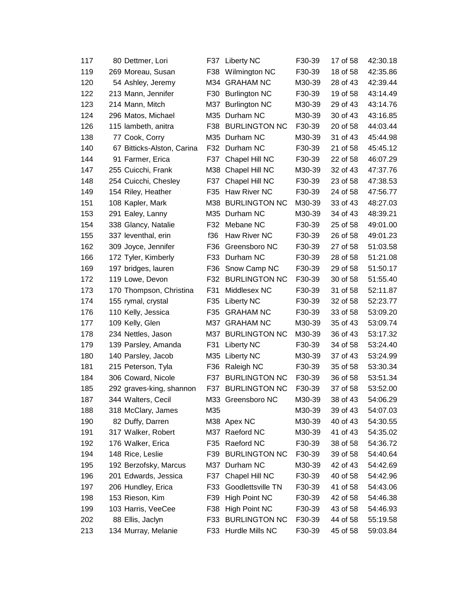| 117 | 80 Dettmer, Lori           | F37   | Liberty NC           | F30-39 | 17 of 58 | 42:30.18 |
|-----|----------------------------|-------|----------------------|--------|----------|----------|
| 119 | 269 Moreau, Susan          | F38   | Wilmington NC        | F30-39 | 18 of 58 | 42:35.86 |
| 120 | 54 Ashley, Jeremy          | M34   | <b>GRAHAM NC</b>     | M30-39 | 28 of 43 | 42:39.44 |
| 122 | 213 Mann, Jennifer         | F30   | <b>Burlington NC</b> | F30-39 | 19 of 58 | 43:14.49 |
| 123 | 214 Mann, Mitch            | M37   | <b>Burlington NC</b> | M30-39 | 29 of 43 | 43:14.76 |
| 124 | 296 Matos, Michael         |       | M35 Durham NC        | M30-39 | 30 of 43 | 43:16.85 |
| 126 | 115 lambeth, anitra        | F38 I | <b>BURLINGTON NC</b> | F30-39 | 20 of 58 | 44:03.44 |
| 138 | 77 Cook, Corry             |       | M35 Durham NC        | M30-39 | 31 of 43 | 45:44.98 |
| 140 | 67 Bitticks-Alston, Carina |       | F32 Durham NC        | F30-39 | 21 of 58 | 45:45.12 |
| 144 | 91 Farmer, Erica           | F37   | Chapel Hill NC       | F30-39 | 22 of 58 | 46:07.29 |
| 147 | 255 Cuicchi, Frank         | M38   | Chapel Hill NC       | M30-39 | 32 of 43 | 47:37.76 |
| 148 | 254 Cuicchi, Chesley       | F37   | Chapel Hill NC       | F30-39 | 23 of 58 | 47:38.53 |
| 149 | 154 Riley, Heather         | F35   | Haw River NC         | F30-39 | 24 of 58 | 47:56.77 |
| 151 | 108 Kapler, Mark           |       | M38 BURLINGTON NC    | M30-39 | 33 of 43 | 48:27.03 |
| 153 | 291 Ealey, Lanny           |       | M35 Durham NC        | M30-39 | 34 of 43 | 48:39.21 |
| 154 | 338 Glancy, Natalie        | F32   | Mebane NC            | F30-39 | 25 of 58 | 49:01.00 |
| 155 | 337 leventhal, erin        | f36   | Haw River NC         | F30-39 | 26 of 58 | 49:01.23 |
| 162 | 309 Joyce, Jennifer        | F36   | Greensboro NC        | F30-39 | 27 of 58 | 51:03.58 |
| 166 | 172 Tyler, Kimberly        | F33   | Durham NC            | F30-39 | 28 of 58 | 51:21.08 |
| 169 | 197 bridges, lauren        | F36   | Snow Camp NC         | F30-39 | 29 of 58 | 51:50.17 |
| 172 | 119 Lowe, Devon            | F32   | <b>BURLINGTON NC</b> | F30-39 | 30 of 58 | 51:55.40 |
| 173 | 170 Thompson, Christina    | F31   | Middlesex NC         | F30-39 | 31 of 58 | 52:11.87 |
| 174 | 155 rymal, crystal         | F35   | Liberty NC           | F30-39 | 32 of 58 | 52:23.77 |
| 176 | 110 Kelly, Jessica         | F35   | <b>GRAHAM NC</b>     | F30-39 | 33 of 58 | 53:09.20 |
| 177 | 109 Kelly, Glen            | M37   | <b>GRAHAM NC</b>     | M30-39 | 35 of 43 | 53:09.74 |
| 178 | 234 Nettles, Jason         |       | M37 BURLINGTON NC    | M30-39 | 36 of 43 | 53:17.32 |
| 179 | 139 Parsley, Amanda        | F31   | Liberty NC           | F30-39 | 34 of 58 | 53:24.40 |
| 180 | 140 Parsley, Jacob         | M35   | <b>Liberty NC</b>    | M30-39 | 37 of 43 | 53:24.99 |
| 181 | 215 Peterson, Tyla         | F36   | Raleigh NC           | F30-39 | 35 of 58 | 53:30.34 |
| 184 | 306 Coward, Nicole         | F37   | <b>BURLINGTON NC</b> | F30-39 | 36 of 58 | 53:51.34 |
| 185 | 292 graves-king, shannon   |       | F37 BURLINGTON NC    | F30-39 | 37 of 58 | 53:52.00 |
| 187 | 344 Walters, Cecil         |       | M33 Greensboro NC    | M30-39 | 38 of 43 | 54:06.29 |
| 188 | 318 McClary, James         | M35   |                      | M30-39 | 39 of 43 | 54:07.03 |
| 190 | 82 Duffy, Darren           |       | M38 Apex NC          | M30-39 | 40 of 43 | 54:30.55 |
| 191 | 317 Walker, Robert         |       | M37 Raeford NC       | M30-39 | 41 of 43 | 54:35.02 |
| 192 | 176 Walker, Erica          | F35   | Raeford NC           | F30-39 | 38 of 58 | 54:36.72 |
| 194 | 148 Rice, Leslie           | F39   | <b>BURLINGTON NC</b> | F30-39 | 39 of 58 | 54:40.64 |
| 195 | 192 Berzofsky, Marcus      | M37   | Durham NC            | M30-39 | 42 of 43 | 54:42.69 |
| 196 | 201 Edwards, Jessica       | F37   | Chapel Hill NC       | F30-39 | 40 of 58 | 54:42.96 |
| 197 | 206 Hundley, Erica         | F33   | Goodlettsville TN    | F30-39 | 41 of 58 | 54:43.06 |
| 198 | 153 Rieson, Kim            | F39   | <b>High Point NC</b> | F30-39 | 42 of 58 | 54:46.38 |
| 199 | 103 Harris, VeeCee         | F38   | <b>High Point NC</b> | F30-39 | 43 of 58 | 54:46.93 |
| 202 | 88 Ellis, Jaclyn           | F33   | <b>BURLINGTON NC</b> | F30-39 | 44 of 58 | 55:19.58 |
| 213 | 134 Murray, Melanie        |       | F33 Hurdle Mills NC  | F30-39 | 45 of 58 | 59:03.84 |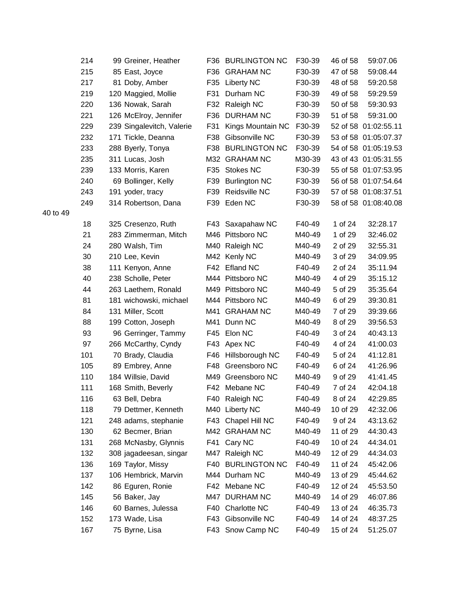|          | 214 | 99 Greiner, Heather       | F36 | <b>BURLINGTON NC</b> | F30-39 | 46 of 58 | 59:07.06             |
|----------|-----|---------------------------|-----|----------------------|--------|----------|----------------------|
|          | 215 | 85 East, Joyce            |     | F36 GRAHAM NC        | F30-39 | 47 of 58 | 59:08.44             |
|          | 217 | 81 Doby, Amber            |     | F35 Liberty NC       | F30-39 | 48 of 58 | 59:20.58             |
|          | 219 | 120 Maggied, Mollie       | F31 | Durham NC            | F30-39 | 49 of 58 | 59:29.59             |
|          | 220 | 136 Nowak, Sarah          | F32 | Raleigh NC           | F30-39 | 50 of 58 | 59:30.93             |
|          | 221 | 126 McElroy, Jennifer     | F36 | <b>DURHAM NC</b>     | F30-39 | 51 of 58 | 59:31.00             |
|          | 229 | 239 Singalevitch, Valerie | F31 | Kings Mountain NC    | F30-39 |          | 52 of 58 01:02:55.11 |
|          | 232 | 171 Tickle, Deanna        | F38 | Gibsonville NC       | F30-39 |          | 53 of 58 01:05:07.37 |
|          | 233 | 288 Byerly, Tonya         |     | F38 BURLINGTON NC    | F30-39 |          | 54 of 58 01:05:19.53 |
|          | 235 | 311 Lucas, Josh           |     | M32 GRAHAM NC        | M30-39 |          | 43 of 43 01:05:31.55 |
|          | 239 | 133 Morris, Karen         |     | F35 Stokes NC        | F30-39 |          | 55 of 58 01:07:53.95 |
|          | 240 | 69 Bollinger, Kelly       | F39 | <b>Burlington NC</b> | F30-39 |          | 56 of 58 01:07:54.64 |
|          | 243 | 191 yoder, tracy          | F39 | Reidsville NC        | F30-39 |          | 57 of 58 01:08:37.51 |
|          | 249 | 314 Robertson, Dana       |     | F39 Eden NC          | F30-39 |          | 58 of 58 01:08:40.08 |
| 40 to 49 |     |                           |     |                      |        |          |                      |
|          | 18  | 325 Cresenzo, Ruth        |     | F43 Saxapahaw NC     | F40-49 | 1 of 24  | 32:28.17             |
|          | 21  | 283 Zimmerman, Mitch      |     | M46 Pittsboro NC     | M40-49 | 1 of 29  | 32:46.02             |
|          | 24  | 280 Walsh, Tim            |     | M40 Raleigh NC       | M40-49 | 2 of 29  | 32:55.31             |
|          | 30  | 210 Lee, Kevin            |     | M42 Kenly NC         | M40-49 | 3 of 29  | 34:09.95             |
|          | 38  | 111 Kenyon, Anne          | F42 | <b>Efland NC</b>     | F40-49 | 2 of 24  | 35:11.94             |
|          | 40  | 238 Scholle, Peter        |     | M44 Pittsboro NC     | M40-49 | 4 of 29  | 35:15.12             |
|          | 44  | 263 Laethem, Ronald       |     | M49 Pittsboro NC     | M40-49 | 5 of 29  | 35:35.64             |
|          | 81  | 181 wichowski, michael    |     | M44 Pittsboro NC     | M40-49 | 6 of 29  | 39:30.81             |
|          | 84  | 131 Miller, Scott         |     | M41 GRAHAM NC        | M40-49 | 7 of 29  | 39:39.66             |
|          | 88  | 199 Cotton, Joseph        | M41 | Dunn NC              | M40-49 | 8 of 29  | 39:56.53             |
|          | 93  | 96 Gerringer, Tammy       | F45 | Elon NC              | F40-49 | 3 of 24  | 40:43.13             |
|          | 97  | 266 McCarthy, Cyndy       |     | F43 Apex NC          | F40-49 | 4 of 24  | 41:00.03             |
|          | 101 | 70 Brady, Claudia         |     | F46 Hillsborough NC  | F40-49 | 5 of 24  | 41:12.81             |
|          | 105 | 89 Embrey, Anne           | F48 | Greensboro NC        | F40-49 | 6 of 24  | 41:26.96             |
|          | 110 | 184 Willsie, David        |     | M49 Greensboro NC    | M40-49 | 9 of 29  | 41:41.45             |
|          | 111 | 168 Smith, Beverly        |     | F42 Mebane NC        | F40-49 | 7 of 24  | 42:04.18             |
|          | 116 | 63 Bell, Debra            |     | F40 Raleigh NC       | F40-49 | 8 of 24  | 42:29.85             |
|          | 118 | 79 Dettmer, Kenneth       |     | M40 Liberty NC       | M40-49 | 10 of 29 | 42:32.06             |
|          | 121 | 248 adams, stephanie      | F43 | Chapel Hill NC       | F40-49 | 9 of 24  | 43:13.62             |
|          | 130 | 62 Becmer, Brian          |     | M42 GRAHAM NC        | M40-49 | 11 of 29 | 44:30.43             |
|          | 131 | 268 McNasby, Glynnis      | F41 | Cary NC              | F40-49 | 10 of 24 | 44:34.01             |
|          | 132 | 308 jagadeesan, singar    |     | M47 Raleigh NC       | M40-49 | 12 of 29 | 44:34.03             |
|          | 136 | 169 Taylor, Missy         |     | F40 BURLINGTON NC    | F40-49 | 11 of 24 | 45:42.06             |
|          | 137 | 106 Hembrick, Marvin      |     | M44 Durham NC        | M40-49 | 13 of 29 | 45:44.62             |
|          | 142 | 86 Eguren, Ronie          |     | F42 Mebane NC        | F40-49 | 12 of 24 | 45:53.50             |
|          | 145 | 56 Baker, Jay             |     | M47 DURHAM NC        | M40-49 | 14 of 29 | 46:07.86             |
|          | 146 | 60 Barnes, Julessa        |     | F40 Charlotte NC     | F40-49 | 13 of 24 | 46:35.73             |
|          | 152 | 173 Wade, Lisa            |     | F43 Gibsonville NC   | F40-49 | 14 of 24 | 48:37.25             |
|          | 167 | 75 Byrne, Lisa            |     | F43 Snow Camp NC     | F40-49 | 15 of 24 | 51:25.07             |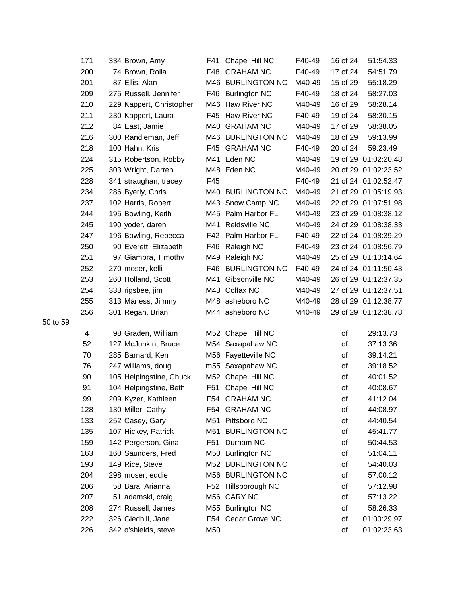| 171 | 334 Brown, Amy           | F41   | Chapel Hill NC      | F40-49 | 16 of 24 | 51:54.33             |
|-----|--------------------------|-------|---------------------|--------|----------|----------------------|
| 200 | 74 Brown, Rolla          | F48   | <b>GRAHAM NC</b>    | F40-49 | 17 of 24 | 54:51.79             |
| 201 | 87 Ellis, Alan           |       | M46 BURLINGTON NC   | M40-49 | 15 of 29 | 55:18.29             |
| 209 | 275 Russell, Jennifer    |       | F46 Burlington NC   | F40-49 | 18 of 24 | 58:27.03             |
| 210 | 229 Kappert, Christopher |       | M46 Haw River NC    | M40-49 | 16 of 29 | 58:28.14             |
| 211 | 230 Kappert, Laura       |       | F45 Haw River NC    | F40-49 | 19 of 24 | 58:30.15             |
| 212 | 84 East, Jamie           |       | M40 GRAHAM NC       | M40-49 | 17 of 29 | 58:38.05             |
| 216 | 300 Randleman, Jeff      |       | M46 BURLINGTON NC   | M40-49 | 18 of 29 | 59:13.99             |
| 218 | 100 Hahn, Kris           |       | F45 GRAHAM NC       | F40-49 | 20 of 24 | 59:23.49             |
| 224 | 315 Robertson, Robby     | M41   | Eden NC             | M40-49 |          | 19 of 29 01:02:20.48 |
| 225 | 303 Wright, Darren       |       | M48 Eden NC         | M40-49 |          | 20 of 29 01:02:23.52 |
| 228 | 341 straughan, tracey    | F45   |                     | F40-49 |          | 21 of 24 01:02:52.47 |
| 234 | 286 Byerly, Chris        |       | M40 BURLINGTON NC   | M40-49 |          | 21 of 29 01:05:19.93 |
| 237 | 102 Harris, Robert       |       | M43 Snow Camp NC    | M40-49 |          | 22 of 29 01:07:51.98 |
| 244 | 195 Bowling, Keith       |       | M45 Palm Harbor FL  | M40-49 |          | 23 of 29 01:08:38.12 |
| 245 | 190 yoder, daren         | M41   | Reidsville NC       | M40-49 |          | 24 of 29 01:08:38.33 |
| 247 | 196 Bowling, Rebecca     |       | F42 Palm Harbor FL  | F40-49 |          | 22 of 24 01:08:39.29 |
| 250 | 90 Everett, Elizabeth    | F46 I | Raleigh NC          | F40-49 |          | 23 of 24 01:08:56.79 |
| 251 | 97 Giambra, Timothy      | M49   | Raleigh NC          | M40-49 |          | 25 of 29 01:10:14.64 |
| 252 | 270 moser, kelli         |       | F46 BURLINGTON NC   | F40-49 |          | 24 of 24 01:11:50.43 |
| 253 | 260 Holland, Scott       | M41   | Gibsonville NC      | M40-49 |          | 26 of 29 01:12:37.35 |
| 254 | 333 rigsbee, jim         |       | M43 Colfax NC       | M40-49 |          | 27 of 29 01:12:37.51 |
| 255 | 313 Maness, Jimmy        |       | M48 asheboro NC     | M40-49 |          | 28 of 29 01:12:38.77 |
| 256 | 301 Regan, Brian         |       | M44 asheboro NC     | M40-49 |          | 29 of 29 01:12:38.78 |
| 4   | 98 Graden, William       | M52   | Chapel Hill NC      |        | οf       | 29:13.73             |
| 52  | 127 McJunkin, Bruce      | M54   | Saxapahaw NC        |        | οf       | 37:13.36             |
| 70  | 285 Barnard, Ken         |       | M56 Fayetteville NC |        | οf       | 39:14.21             |
| 76  | 247 williams, doug       | m55   | Saxapahaw NC        |        | οf       | 39:18.52             |
| 90  | 105 Helpingstine, Chuck  |       | M52 Chapel Hill NC  |        | of       | 40:01.52             |
| 91  | 104 Helpingstine, Beth   | F51   | Chapel Hill NC      |        | οf       | 40:08.67             |
| 99  | 209 Kyzer, Kathleen      |       | F54 GRAHAM NC       |        | οf       | 41:12.04             |
| 128 | 130 Miller, Cathy        |       | F54 GRAHAM NC       |        | of       | 44:08.97             |
| 133 | 252 Casey, Gary          | M51   | Pittsboro NC        |        | οf       | 44:40.54             |
| 135 | 107 Hickey, Patrick      |       | M51 BURLINGTON NC   |        | οf       | 45:41.77             |
| 159 | 142 Pergerson, Gina      | F51   | Durham NC           |        | οf       | 50:44.53             |
| 163 | 160 Saunders, Fred       |       | M50 Burlington NC   |        | οf       | 51:04.11             |
| 193 | 149 Rice, Steve          |       | M52 BURLINGTON NC   |        | οf       | 54:40.03             |
| 204 | 298 moser, eddie         |       | M56 BURLINGTON NC   |        | οf       | 57:00.12             |
| 206 | 58 Bara, Arianna         |       | F52 Hillsborough NC |        | οf       | 57:12.98             |
| 207 | 51 adamski, craig        |       | M56 CARY NC         |        | οf       | 57:13.22             |
| 208 | 274 Russell, James       |       | M55 Burlington NC   |        | of       | 58:26.33             |
| 222 | 326 Gledhill, Jane       |       | F54 Cedar Grove NC  |        | οf       | 01:00:29.97          |
| 226 | 342 o'shields, steve     | M50   |                     |        | of       | 01:02:23.63          |

50 to 59